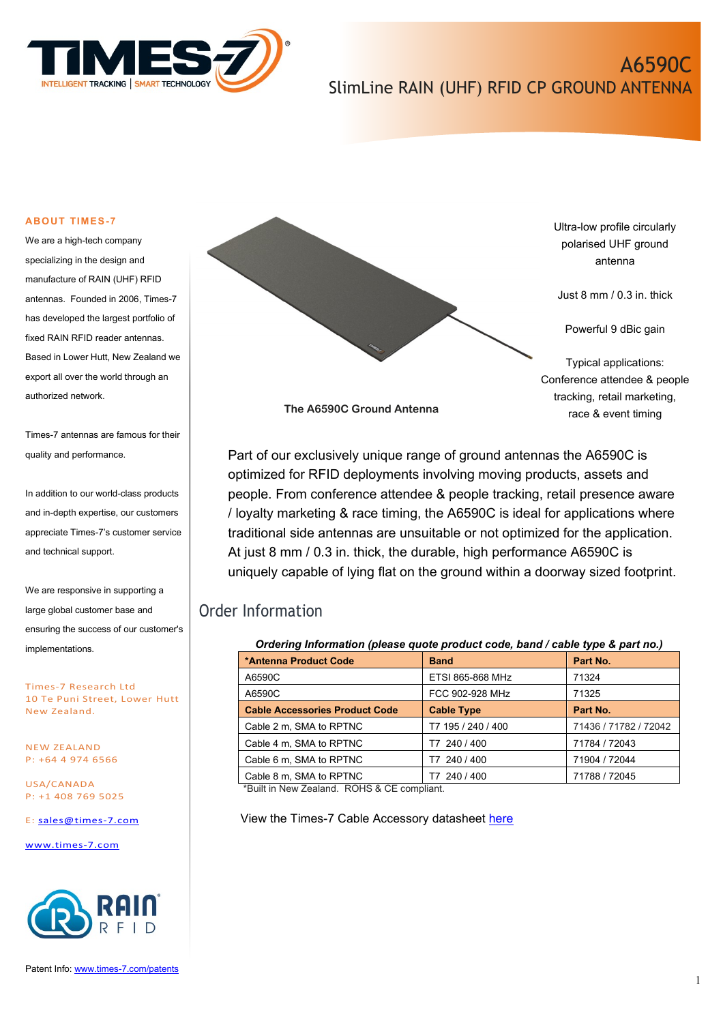

# A6590C SlimLine RAIN (UHF) RFID CP GROUND ANTENNA

#### **ABOUT TIMES-7**

We are a high-tech company specializing in the design and manufacture of RAIN (UHF) RFID antennas. Founded in 2006, Times-7 has developed the largest portfolio of fixed RAIN RFID reader antennas. Based in Lower Hutt, New Zealand we export all over the world through an authorized network.

Times-7 antennas are famous for their quality and performance.

In addition to our world-class products and in-depth expertise, our customers appreciate Times-7's customer service and technical support.

We are responsive in supporting a large global customer base and ensuring the success of our customer's implementations.

Times-7 Research Ltd 10 Te Puni Street, Lower Hutt New Zealand.

NEW ZEALAND P: +64 4 974 6566

USA/CANADA P: +1 408 769 5025

E: [sales@times-7.com](mailto:sales@times-7.com)

[www.times-7.com](http://www.times-7.com/)



Ultra-low profile circularly polarised UHF ground antenna

Just 8 mm / 0.3 in. thick

Powerful 9 dBic gain

Typical applications: Conference attendee & people tracking, retail marketing, race & event timing

**The A6590C Ground Antenna**

Part of our exclusively unique range of ground antennas the A6590C is optimized for RFID deployments involving moving products, assets and people. From conference attendee & people tracking, retail presence aware / loyalty marketing & race timing, the A6590C is ideal for applications where traditional side antennas are unsuitable or not optimized for the application. At just 8 mm / 0.3 in. thick, the durable, high performance A6590C is uniquely capable of lying flat on the ground within a doorway sized footprint.

# Order Information

| Ordering Information (please quote product code, band / cable type & part no.) |                    |                       |  |
|--------------------------------------------------------------------------------|--------------------|-----------------------|--|
| *Antenna Product Code                                                          | <b>Band</b>        | Part No.              |  |
| A6590C                                                                         | ETSI 865-868 MHz   | 71324                 |  |
| A6590C                                                                         | FCC 902-928 MHz    | 71325                 |  |
| <b>Cable Accessories Product Code</b>                                          | <b>Cable Type</b>  | Part No.              |  |
| Cable 2 m, SMA to RPTNC                                                        | T7 195 / 240 / 400 | 71436 / 71782 / 72042 |  |
| Cable 4 m, SMA to RPTNC                                                        | T7 240 / 400       | 71784 / 72043         |  |
| Cable 6 m, SMA to RPTNC                                                        | T7 240 / 400       | 71904 / 72044         |  |
| Cable 8 m, SMA to RPTNC                                                        | 240 / 400<br>Т7    | 71788 / 72045         |  |

\*Built in New Zealand. ROHS & CE compliant.

View the Times-7 Cable Accessory datasheet [here](https://www.times-7.com/Cable%20Datasheet_v1.1_A4.pdf)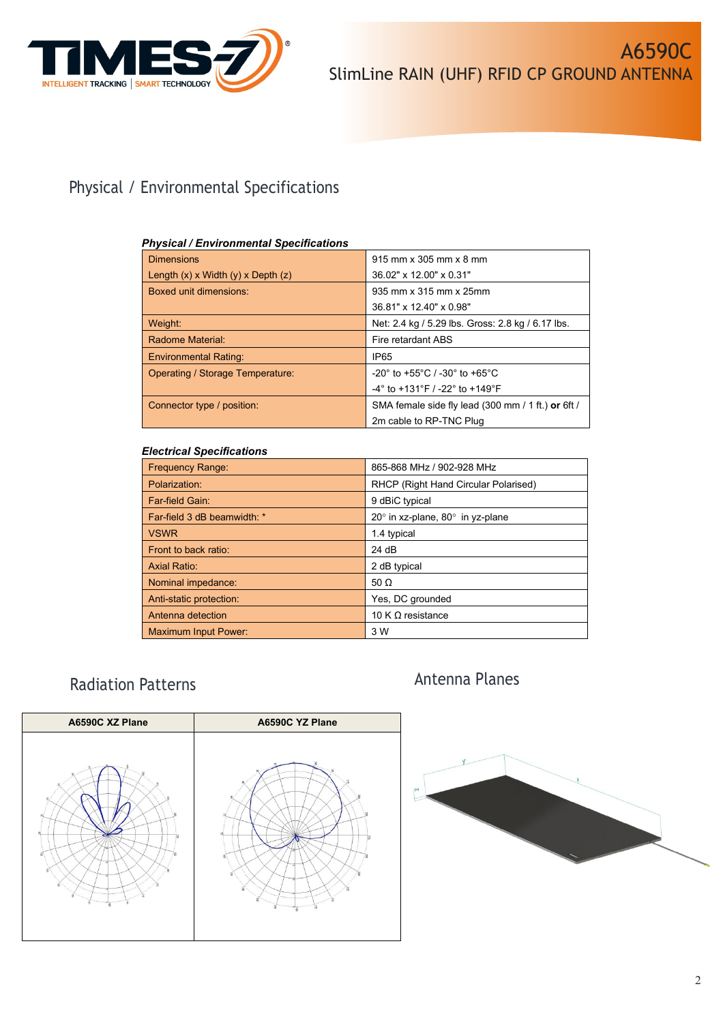

# Physical / Environmental Specifications

## *Physical / Environmental Specifications*

| <b>Dimensions</b>                        | $915$ mm x 305 mm x 8 mm                                             |  |
|------------------------------------------|----------------------------------------------------------------------|--|
| Length $(x)$ x Width $(y)$ x Depth $(z)$ | 36.02" x 12.00" x 0.31"                                              |  |
| Boxed unit dimensions:                   | 935 mm x 315 mm x 25mm                                               |  |
|                                          | 36.81" x 12.40" x 0.98"                                              |  |
| Weight:                                  | Net: 2.4 kg / 5.29 lbs. Gross: 2.8 kg / 6.17 lbs.                    |  |
| Radome Material:                         | Fire retardant ABS                                                   |  |
| <b>Environmental Rating:</b>             | IP65                                                                 |  |
| <b>Operating / Storage Temperature:</b>  | $-20^{\circ}$ to $+55^{\circ}$ C / $-30^{\circ}$ to $+65^{\circ}$ C  |  |
|                                          | $-4^{\circ}$ to $+131^{\circ}$ F / $-22^{\circ}$ to $+149^{\circ}$ F |  |
| Connector type / position:               | SMA female side fly lead (300 mm / 1 ft.) or 6ft /                   |  |
|                                          | 2m cable to RP-TNC Plug                                              |  |

## *Electrical Specifications*

| <b>Frequency Range:</b>     | 865-868 MHz / 902-928 MHz                      |
|-----------------------------|------------------------------------------------|
| Polarization:               | RHCP (Right Hand Circular Polarised)           |
| Far-field Gain:             | 9 dBiC typical                                 |
| Far-field 3 dB beamwidth: * | $20^\circ$ in xz-plane, $80^\circ$ in yz-plane |
| <b>VSWR</b>                 | 1.4 typical                                    |
| Front to back ratio:        | 24 dB                                          |
| <b>Axial Ratio:</b>         | 2 dB typical                                   |
| Nominal impedance:          | 50 $\Omega$                                    |
| Anti-static protection:     | Yes, DC grounded                               |
| Antenna detection           | 10 K $\Omega$ resistance                       |
| <b>Maximum Input Power:</b> | 3 W                                            |

# Antenna Planes Radiation Patterns



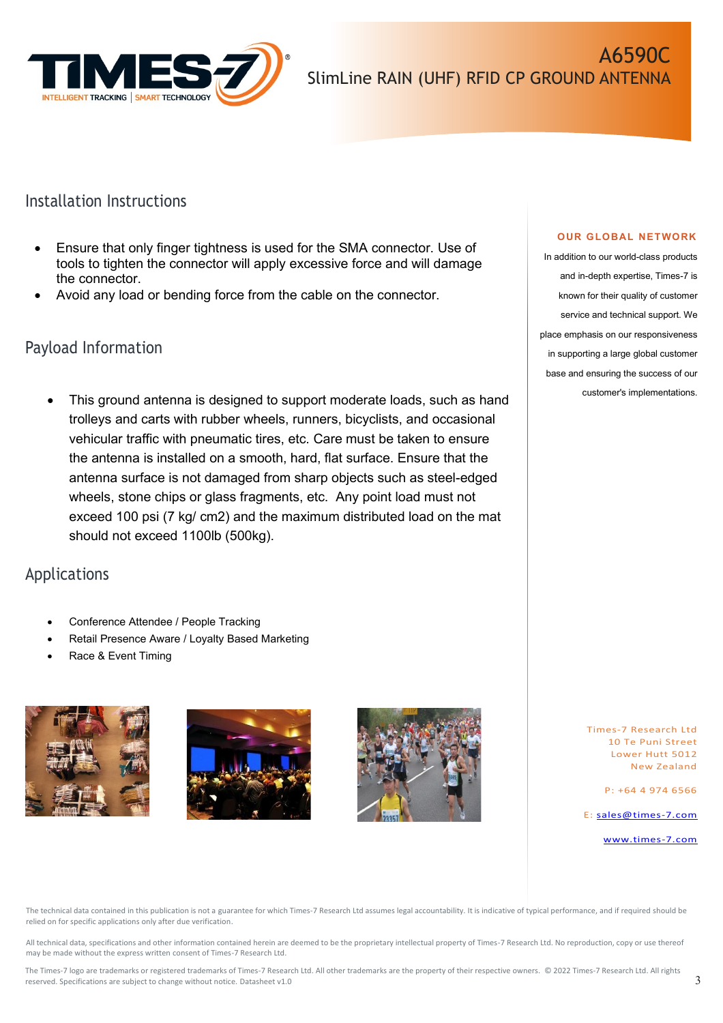

## Installation Instructions

- Ensure that only finger tightness is used for the SMA connector. Use of tools to tighten the connector will apply excessive force and will damage the connector.
- Avoid any load or bending force from the cable on the connector.

## Payload Information

This ground antenna is designed to support moderate loads, such as hand trolleys and carts with rubber wheels, runners, bicyclists, and occasional vehicular traffic with pneumatic tires, etc. Care must be taken to ensure the antenna is installed on a smooth, hard, flat surface. Ensure that the antenna surface is not damaged from sharp objects such as steel-edged wheels, stone chips or glass fragments, etc. Any point load must not exceed 100 psi (7 kg/ cm2) and the maximum distributed load on the mat should not exceed 1100lb (500kg).

# Applications

- Conference Attendee / People Tracking
- Retail Presence Aware / Loyalty Based Marketing
- Race & Event Timing







### **OUR GLOBAL NETWORK**

In addition to our world-class products and in-depth expertise, Times-7 is known for their quality of customer service and technical support. We place emphasis on our responsiveness in supporting a large global customer base and ensuring the success of our customer's implementations.

> Times-7 Research Ltd 10 Te Puni Street Lower Hutt 5012 New Zealand

> > P: +64 4 974 6566

E: [sales@times-7.com](mailto:sales@times-7.com)

[www.times-7.com](http://www.times-7.com/)

The technical data contained in this publication is not a guarantee for which Times-7 Research Ltd assumes legal accountability. It is indicative of typical performance, and if required should be relied on for specific applications only after due verification.

All technical data, specifications and other information contained herein are deemed to be the proprietary intellectual property of Times-7 Research Ltd. No reproduction, copy or use thereof may be made without the express written consent of Times-7 Research Ltd.

The Times-7 logo are trademarks or registered trademarks of Times-7 Research Ltd. All other trademarks are the property of their respective owners. © 2022 Times-7 Research Ltd. All rights reserved. Specifications are subject to change without notice. Datasheet v1.0